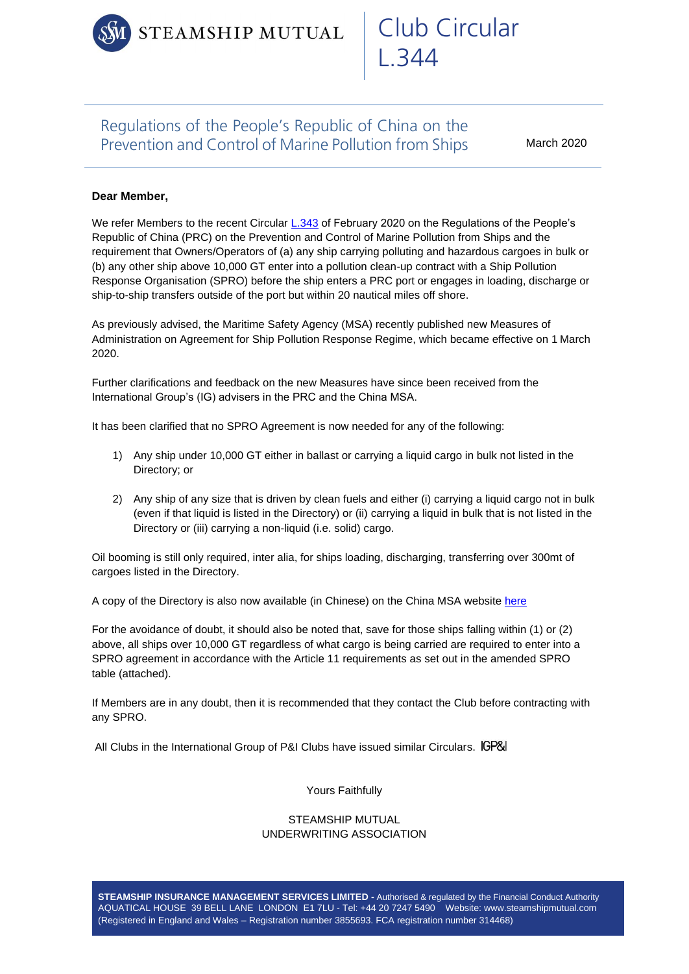STEAMSHIP MUTUAL

# Club Circular L.344

# Regulations of the People's Republic of China on the Prevention and Control of Marine Pollution from Ships

March 2020

## **Dear Member,**

We refer Members to the recent Circula[r L.343](https://www.steamshipmutual.com/Downloads/Circulars-London/L.343.pdf) of February 2020 on the Regulations of the People's Republic of China (PRC) on the Prevention and Control of Marine Pollution from Ships and the requirement that Owners/Operators of (a) any ship carrying polluting and hazardous cargoes in bulk or (b) any other ship above 10,000 GT enter into a pollution clean-up contract with a Ship Pollution Response Organisation (SPRO) before the ship enters a PRC port or engages in loading, discharge or ship-to-ship transfers outside of the port but within 20 nautical miles off shore.

As previously advised, the Maritime Safety Agency (MSA) recently published new Measures of Administration on Agreement for Ship Pollution Response Regime, which became effective on 1 March 2020.

Further clarifications and feedback on the new Measures have since been received from the International Group's (IG) advisers in the PRC and the China MSA.

It has been clarified that no SPRO Agreement is now needed for any of the following:

- 1) Any ship under 10,000 GT either in ballast or carrying a liquid cargo in bulk not listed in the Directory; or
- 2) Any ship of any size that is driven by clean fuels and either (i) carrying a liquid cargo not in bulk (even if that liquid is listed in the Directory) or (ii) carrying a liquid in bulk that is not listed in the Directory or (iii) carrying a non-liquid (i.e. solid) cargo.

Oil booming is still only required, inter alia, for ships loading, discharging, transferring over 300mt of cargoes listed in the Directory.

A copy of the Directory is also now available (in Chinese) on the China MSA website [here](https://www.msa.gov.cn/html/xxgk/tzgg/wgfw/20190611/5B82B390-ADCD-4A6C-A480-3DA130B560DA.html)

For the avoidance of doubt, it should also be noted that, save for those ships falling within (1) or (2) above, all ships over 10,000 GT regardless of what cargo is being carried are required to enter into a SPRO agreement in accordance with the Article 11 requirements as set out in the amended SPRO table (attached).

If Members are in any doubt, then it is recommended that they contact the Club before contracting with any SPRO.

All Clubs in the International Group of P&I Clubs have issued similar Circulars.

Yours Faithfully

#### STEAMSHIP MUTUAL UNDERWRITING ASSOCIATION

**STEAMSHIP INSURANCE MANAGEMENT SERVICES LIMITED -** Authorised & regulated by the Financial Conduct Authority AQUATICAL HOUSE 39 BELL LANE LONDON E1 7LU - Tel: +44 20 7247 5490 Website: www.steamshipmutual.com (Registered in England and Wales – Registration number 3855693. FCA registration number 314468)